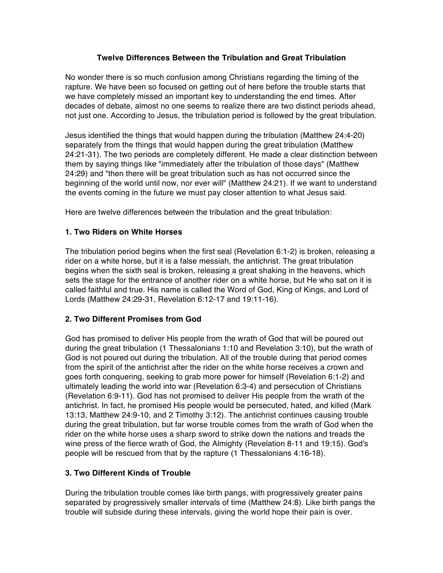### **Twelve Differences Between the Tribulation and Great Tribulation**

No wonder there is so much confusion among Christians regarding the timing of the rapture. We have been so focused on getting out of here before the trouble starts that we have completely missed an important key to understanding the end times. After decades of debate, almost no one seems to realize there are two distinct periods ahead, not just one. According to Jesus, the tribulation period is followed by the great tribulation.

Jesus identified the things that would happen during the tribulation (Matthew 24:4-20) separately from the things that would happen during the great tribulation (Matthew 24:21-31). The two periods are completely different. He made a clear distinction between them by saying things like "immediately after the tribulation of those days" (Matthew 24:29) and "then there will be great tribulation such as has not occurred since the beginning of the world until now, nor ever will" (Matthew 24:21). If we want to understand the events coming in the future we must pay closer attention to what Jesus said.

Here are twelve differences between the tribulation and the great tribulation:

## **1. Two Riders on White Horses**

The tribulation period begins when the first seal (Revelation 6:1-2) is broken, releasing a rider on a white horse, but it is a false messiah, the antichrist. The great tribulation begins when the sixth seal is broken, releasing a great shaking in the heavens, which sets the stage for the entrance of another rider on a white horse, but He who sat on it is called faithful and true. His name is called the Word of God, King of Kings, and Lord of Lords (Matthew 24:29-31, Revelation 6:12-17 and 19:11-16).

# **2. Two Different Promises from God**

God has promised to deliver His people from the wrath of God that will be poured out during the great tribulation (1 Thessalonians 1:10 and Revelation 3:10), but the wrath of God is not poured out during the tribulation. All of the trouble during that period comes from the spirit of the antichrist after the rider on the white horse receives a crown and goes forth conquering, seeking to grab more power for himself (Revelation 6:1-2) and ultimately leading the world into war (Revelation 6:3-4) and persecution of Christians (Revelation 6:9-11). God has not promised to deliver His people from the wrath of the antichrist. In fact, he promised His people would be persecuted, hated, and killed (Mark 13:13, Matthew 24:9-10, and 2 Timothy 3:12). The antichrist continues causing trouble during the great tribulation, but far worse trouble comes from the wrath of God when the rider on the white horse uses a sharp sword to strike down the nations and treads the wine press of the fierce wrath of God, the Almighty (Revelation 8-11 and 19:15). God's people will be rescued from that by the rapture (1 Thessalonians 4:16-18).

# **3. Two Different Kinds of Trouble**

During the tribulation trouble comes like birth pangs, with progressively greater pains separated by progressively smaller intervals of time (Matthew 24:8). Like birth pangs the trouble will subside during these intervals, giving the world hope their pain is over.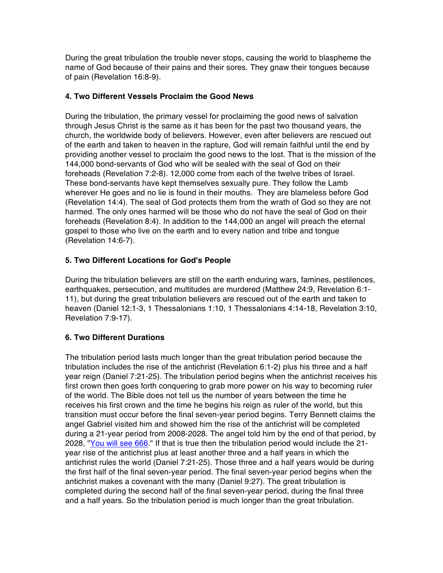During the great tribulation the trouble never stops, causing the world to blaspheme the name of God because of their pains and their sores. They gnaw their tongues because of pain (Revelation 16:8-9).

### **4. Two Different Vessels Proclaim the Good News**

During the tribulation, the primary vessel for proclaiming the good news of salvation through Jesus Christ is the same as it has been for the past two thousand years, the church, the worldwide body of believers. However, even after believers are rescued out of the earth and taken to heaven in the rapture, God will remain faithful until the end by providing another vessel to proclaim the good news to the lost. That is the mission of the 144,000 bond-servants of God who will be sealed with the seal of God on their foreheads (Revelation 7:2-8). 12,000 come from each of the twelve tribes of Israel. These bond-servants have kept themselves sexually pure. They follow the Lamb wherever He goes and no lie is found in their mouths. They are blameless before God (Revelation 14:4). The seal of God protects them from the wrath of God so they are not harmed. The only ones harmed will be those who do not have the seal of God on their foreheads (Revelation 8:4). In addition to the 144,000 an angel will preach the eternal gospel to those who live on the earth and to every nation and tribe and tongue (Revelation 14:6-7).

# **5. Two Different Locations for God's People**

During the tribulation believers are still on the earth enduring wars, famines, pestilences, earthquakes, persecution, and multitudes are murdered (Matthew 24:9, Revelation 6:1- 11), but during the great tribulation believers are rescued out of the earth and taken to heaven (Daniel 12:1-3, 1 Thessalonians 1:10, 1 Thessalonians 4:14-18, Revelation 3:10, Revelation 7:9-17).

# **6. Two Different Durations**

The tribulation period lasts much longer than the great tribulation period because the tribulation includes the rise of the antichrist (Revelation 6:1-2) plus his three and a half year reign (Daniel 7:21-25). The tribulation period begins when the antichrist receives his first crown then goes forth conquering to grab more power on his way to becoming ruler of the world. The Bible does not tell us the number of years between the time he receives his first crown and the time he begins his reign as ruler of the world, but this transition must occur before the final seven-year period begins. Terry Bennett claims the angel Gabriel visited him and showed him the rise of the antichrist will be completed during a 21-year period from 2008-2028. The angel told him by the end of that period, by 2028, "You will see 666." If that is true then the tribulation period would include the 21 year rise of the antichrist plus at least another three and a half years in which the antichrist rules the world (Daniel 7:21-25). Those three and a half years would be during the first half of the final seven-year period. The final seven-year period begins when the antichrist makes a covenant with the many (Daniel 9:27). The great tribulation is completed during the second half of the final seven-year period, during the final three and a half years. So the tribulation period is much longer than the great tribulation.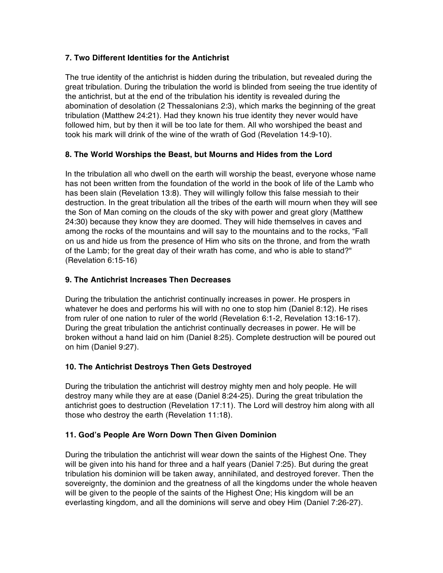## **7. Two Different Identities for the Antichrist**

The true identity of the antichrist is hidden during the tribulation, but revealed during the great tribulation. During the tribulation the world is blinded from seeing the true identity of the antichrist, but at the end of the tribulation his identity is revealed during the abomination of desolation (2 Thessalonians 2:3), which marks the beginning of the great tribulation (Matthew 24:21). Had they known his true identity they never would have followed him, but by then it will be too late for them. All who worshiped the beast and took his mark will drink of the wine of the wrath of God (Revelation 14:9-10).

## **8. The World Worships the Beast, but Mourns and Hides from the Lord**

In the tribulation all who dwell on the earth will worship the beast, everyone whose name has not been written from the foundation of the world in the book of life of the Lamb who has been slain (Revelation 13:8). They will willingly follow this false messiah to their destruction. In the great tribulation all the tribes of the earth will mourn when they will see the Son of Man coming on the clouds of the sky with power and great glory (Matthew 24:30) because they know they are doomed. They will hide themselves in caves and among the rocks of the mountains and will say to the mountains and to the rocks, "Fall on us and hide us from the presence of Him who sits on the throne, and from the wrath of the Lamb; for the great day of their wrath has come, and who is able to stand?" (Revelation 6:15-16)

### **9. The Antichrist Increases Then Decreases**

During the tribulation the antichrist continually increases in power. He prospers in whatever he does and performs his will with no one to stop him (Daniel 8:12). He rises from ruler of one nation to ruler of the world (Revelation 6:1-2, Revelation 13:16-17). During the great tribulation the antichrist continually decreases in power. He will be broken without a hand laid on him (Daniel 8:25). Complete destruction will be poured out on him (Daniel 9:27).

### **10. The Antichrist Destroys Then Gets Destroyed**

During the tribulation the antichrist will destroy mighty men and holy people. He will destroy many while they are at ease (Daniel 8:24-25). During the great tribulation the antichrist goes to destruction (Revelation 17:11). The Lord will destroy him along with all those who destroy the earth (Revelation 11:18).

# **11. God's People Are Worn Down Then Given Dominion**

During the tribulation the antichrist will wear down the saints of the Highest One. They will be given into his hand for three and a half years (Daniel 7:25). But during the great tribulation his dominion will be taken away, annihilated, and destroyed forever. Then the sovereignty, the dominion and the greatness of all the kingdoms under the whole heaven will be given to the people of the saints of the Highest One; His kingdom will be an everlasting kingdom, and all the dominions will serve and obey Him (Daniel 7:26-27).